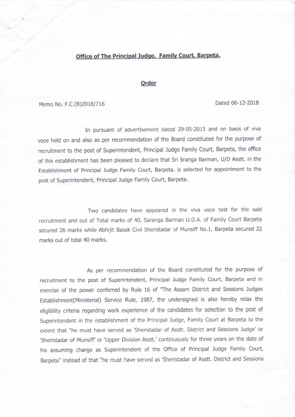## Office of The Principal Judge, Family Court, Barpeta.

## **Order**

Memo No. F.C.(B)2018/716 Dated 06-12-2018

In pursuant of advertisement dated 29-05-2015 and on basis of viva voce held on and also as per recommendation of the Board constituted for the purpose of recruitment to the post of Superintendent, Principal Judge Family Court, Barpeta, the office of this establishment has been pleased to declare that Sri Sranga Barman, U/D Asstt. in the Establishment of Principal Judge Family Court, Barpeta, is selected for appointment to the post of Superintendent, Principal Judge Family Court, Barpeta.

Two candidates have appeared in the viva voce test for the said recruitment and out of Total marks of 40, Saranga Barman U.D.A. of Family Coutt Barpeta secured 26 marks while Abhijit Basak Civil Sheristadar of Munsiff No.1, Barpeta secured <sup>22</sup> marks out of total 40 marks.

As per recommendation of the Board constituted for the purpose of<br>recruitment to the post of Superintendent, Principal Judge Family Court, Barpeta and in exercise of the power conferred by Rule 16 of 'The Assam District and Sessions Judges Establishment(Ministerial) Service Rule, 1987, the undersigned is also hereby relax the eligibility criteria regarding work experience of the candidates for selection to the post of Superintendent in the establishment of the Principal Judge, Family Court at Barpeta to the extent that "he must have served as 'sheristadar of Asstt. District and Sessions Judge' or 'Sheristadar of Munsiff' or 'Upper Division Asstt.' continuously for three years on the date of his assuming charge as Superintendent of the Office of Principal Judge Family Court, Barpeta" instead of that "he must have served as'sheristadar of Asstt. District and Sessions